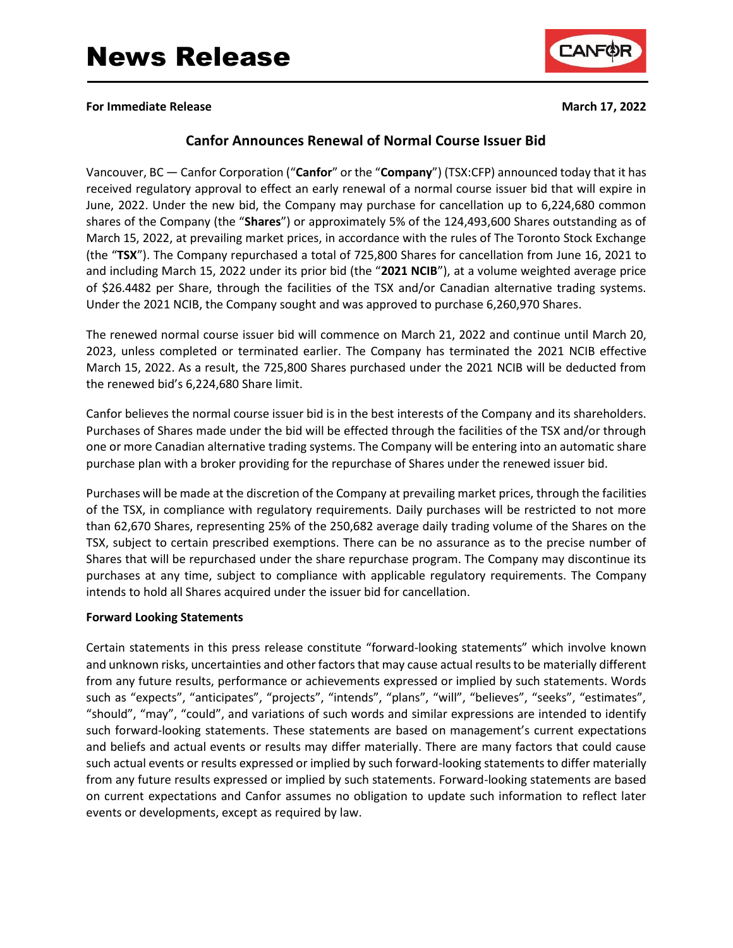

**For Immediate Release March 17, 2022**

# **Canfor Announces Renewal of Normal Course Issuer Bid**

Vancouver, BC — Canfor Corporation ("**Canfor**" or the "**Company**") (TSX:CFP) announced today that it has received regulatory approval to effect an early renewal of a normal course issuer bid that will expire in June, 2022. Under the new bid, the Company may purchase for cancellation up to 6,224,680 common shares of the Company (the "**Shares**") or approximately 5% of the 124,493,600 Shares outstanding as of March 15, 2022, at prevailing market prices, in accordance with the rules of The Toronto Stock Exchange (the "**TSX**"). The Company repurchased a total of 725,800 Shares for cancellation from June 16, 2021 to and including March 15, 2022 under its prior bid (the "**2021 NCIB**"), at a volume weighted average price of \$26.4482 per Share, through the facilities of the TSX and/or Canadian alternative trading systems. Under the 2021 NCIB, the Company sought and was approved to purchase 6,260,970 Shares.

The renewed normal course issuer bid will commence on March 21, 2022 and continue until March 20, 2023, unless completed or terminated earlier. The Company has terminated the 2021 NCIB effective March 15, 2022. As a result, the 725,800 Shares purchased under the 2021 NCIB will be deducted from the renewed bid's 6,224,680 Share limit.

Canfor believes the normal course issuer bid is in the best interests of the Company and its shareholders. Purchases of Shares made under the bid will be effected through the facilities of the TSX and/or through one or more Canadian alternative trading systems. The Company will be entering into an automatic share purchase plan with a broker providing for the repurchase of Shares under the renewed issuer bid.

Purchases will be made at the discretion of the Company at prevailing market prices, through the facilities of the TSX, in compliance with regulatory requirements. Daily purchases will be restricted to not more than 62,670 Shares, representing 25% of the 250,682 average daily trading volume of the Shares on the TSX, subject to certain prescribed exemptions. There can be no assurance as to the precise number of Shares that will be repurchased under the share repurchase program. The Company may discontinue its purchases at any time, subject to compliance with applicable regulatory requirements. The Company intends to hold all Shares acquired under the issuer bid for cancellation.

## **Forward Looking Statements**

Certain statements in this press release constitute "forward-looking statements" which involve known and unknown risks, uncertainties and other factors that may cause actual results to be materially different from any future results, performance or achievements expressed or implied by such statements. Words such as "expects", "anticipates", "projects", "intends", "plans", "will", "believes", "seeks", "estimates", "should", "may", "could", and variations of such words and similar expressions are intended to identify such forward-looking statements. These statements are based on management's current expectations and beliefs and actual events or results may differ materially. There are many factors that could cause such actual events or results expressed or implied by such forward-looking statements to differ materially from any future results expressed or implied by such statements. Forward-looking statements are based on current expectations and Canfor assumes no obligation to update such information to reflect later events or developments, except as required by law.